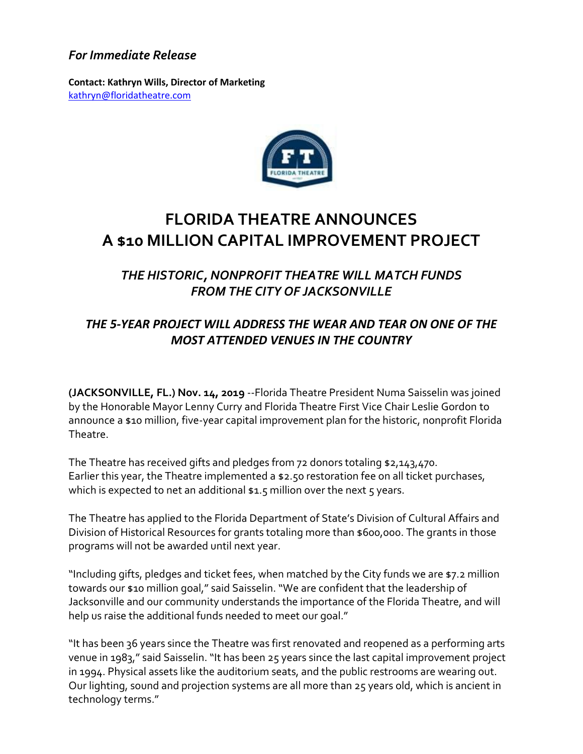## *For Immediate Release*

**Contact: Kathryn Wills, Director of Marketing**  [kathryn@floridatheatre.com](mailto:kathryn@floridatheatre.com)



## **FLORIDA THEATRE ANNOUNCES A \$10 MILLION CAPITAL IMPROVEMENT PROJECT**

## *THE HISTORIC, NONPROFIT THEATRE WILL MATCH FUNDS FROM THE CITY OF JACKSONVILLE*

## *THE 5-YEAR PROJECT WILL ADDRESS THE WEAR AND TEAR ON ONE OF THE MOST ATTENDED VENUES IN THE COUNTRY*

**(JACKSONVILLE, FL.) Nov. 14, 2019** --Florida Theatre President Numa Saisselin was joined by the Honorable Mayor Lenny Curry and Florida Theatre First Vice Chair Leslie Gordon to announce a \$10 million, five-year capital improvement plan for the historic, nonprofit Florida Theatre.

The Theatre has received gifts and pledges from 72 donors totaling \$2,143,470. Earlier this year, the Theatre implemented a \$2.50 restoration fee on all ticket purchases, which is expected to net an additional  $$1.5$  million over the next  $$5$  years.

The Theatre has applied to the Florida Department of State's Division of Cultural Affairs and Division of Historical Resources for grants totaling more than \$600,000. The grants in those programs will not be awarded until next year.

"Including gifts, pledges and ticket fees, when matched by the City funds we are \$7.2 million towards our \$10 million goal," said Saisselin. "We are confident that the leadership of Jacksonville and our community understands the importance of the Florida Theatre, and will help us raise the additional funds needed to meet our goal."

"It has been 36 years since the Theatre was first renovated and reopened as a performing arts venue in 1983," said Saisselin. "It has been 25 years since the last capital improvement project in 1994. Physical assets like the auditorium seats, and the public restrooms are wearing out. Our lighting, sound and projection systems are all more than 25 years old, which is ancient in technology terms."